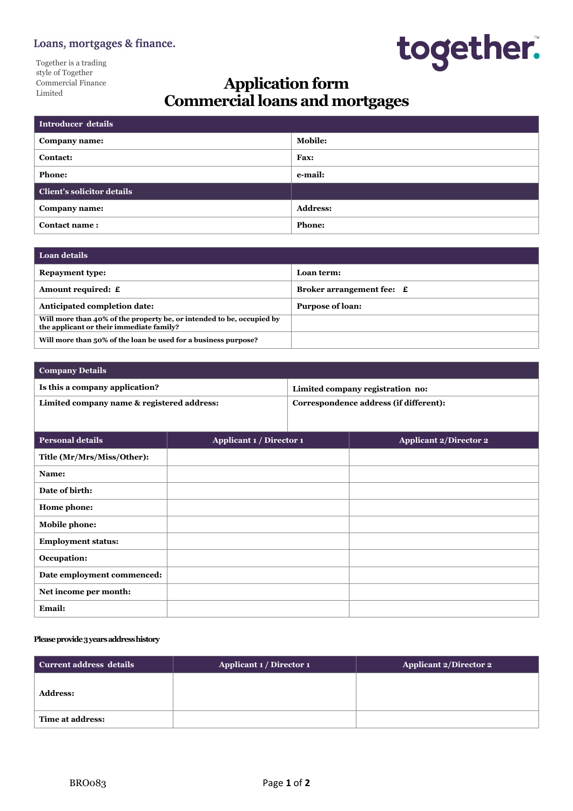# Loans, mortgages & finance.

Together is a trading style of Together Commercial Finance Limited



# **Application form Commercialloans andmortgages**

| Introducer details                |                 |
|-----------------------------------|-----------------|
| Company name:                     | <b>Mobile:</b>  |
| <b>Contact:</b>                   | Fax:            |
| <b>Phone:</b>                     | e-mail:         |
| <b>Client's solicitor details</b> |                 |
| Company name:                     | <b>Address:</b> |
| <b>Contact name:</b>              | <b>Phone:</b>   |

| ∣ Loan details                                                                                                    |                           |
|-------------------------------------------------------------------------------------------------------------------|---------------------------|
| <b>Repayment type:</b>                                                                                            | Loan term:                |
| Amount required: £                                                                                                | Broker arrangement fee: £ |
| Anticipated completion date:                                                                                      | <b>Purpose of loan:</b>   |
| Will more than 40% of the property be, or intended to be, occupied by<br>the applicant or their immediate family? |                           |
| Will more than 50% of the loan be used for a business purpose?                                                    |                           |

| <b>Company Details</b>                     |                                        |
|--------------------------------------------|----------------------------------------|
| Is this a company application?             | Limited company registration no:       |
| Limited company name & registered address: | Correspondence address (if different): |
|                                            |                                        |

| Personal details           | Applicant 1 / Director 1 | <b>Applicant 2/Director 2</b> |
|----------------------------|--------------------------|-------------------------------|
| Title (Mr/Mrs/Miss/Other): |                          |                               |
| Name:                      |                          |                               |
| Date of birth:             |                          |                               |
| Home phone:                |                          |                               |
| Mobile phone:              |                          |                               |
| <b>Employment status:</b>  |                          |                               |
| Occupation:                |                          |                               |
| Date employment commenced: |                          |                               |
| Net income per month:      |                          |                               |
| Email:                     |                          |                               |

#### **Pleaseprovide3yearsaddresshistory**

| Current address details | Applicant 1 / Director 1 | <b>Applicant 2/Director 2</b> |
|-------------------------|--------------------------|-------------------------------|
| <b>Address:</b>         |                          |                               |
| Time at address:        |                          |                               |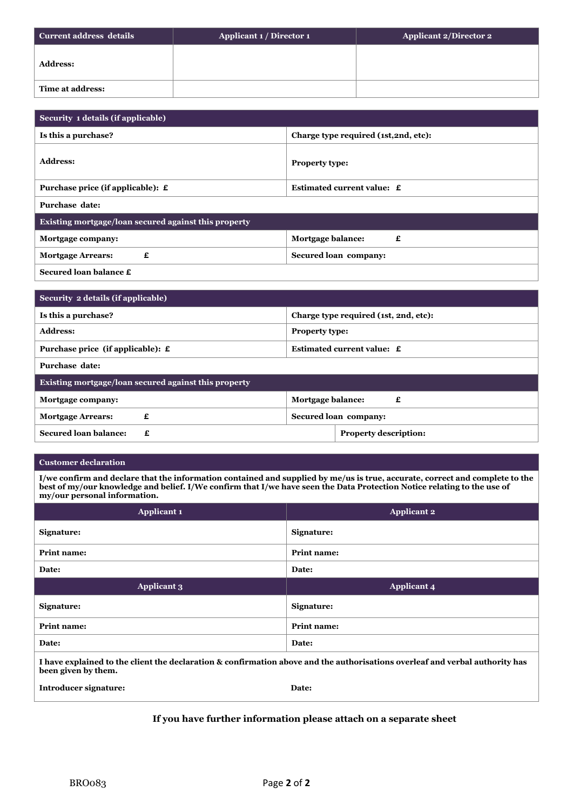| Current address details | Applicant 1 / Director 1 | <b>Applicant 2/Director 2</b> |
|-------------------------|--------------------------|-------------------------------|
| <b>Address:</b>         |                          |                               |
| <b>Time at address:</b> |                          |                               |

| Security 1 details (if applicable)                   |                                       |  |
|------------------------------------------------------|---------------------------------------|--|
| Is this a purchase?                                  | Charge type required (1st, 2nd, etc): |  |
| <b>Address:</b>                                      | Property type:                        |  |
| Purchase price (if applicable): £                    | Estimated current value: £            |  |
| Purchase date:                                       |                                       |  |
| Existing mortgage/loan secured against this property |                                       |  |
| Mortgage company:                                    | Mortgage balance:<br>£                |  |
| £<br><b>Mortgage Arrears:</b>                        | Secured loan company:                 |  |
|                                                      |                                       |  |

**Secured loan balance £**

| Security 2 details (if applicable)                     |                                       |
|--------------------------------------------------------|---------------------------------------|
| Is this a purchase?                                    | Charge type required (1st, 2nd, etc): |
| <b>Address:</b>                                        | <b>Property type:</b>                 |
| Purchase price (if applicable): $\boldsymbol{\pounds}$ | Estimated current value: £            |
| Purchase date:                                         |                                       |
| Existing mortgage/loan secured against this property   |                                       |
| Mortgage company:                                      | Mortgage balance:<br>£                |
| <b>Mortgage Arrears:</b>                               | Secured loan company:                 |

#### **Customer declaration**

I/we confirm and declare that the information contained and supplied by me/us is true, accurate, correct and complete to the best of my/our knowledge and belief. I/We confirm that I/we have seen the Data Protection Notice relating to the use of **my/our personal information.**

**Secured** loan balance:  $\boldsymbol{\epsilon}$  **£ Property** description:

| <b>Applicant 1</b> | <b>Applicant 2</b> |
|--------------------|--------------------|
| Signature:         | Signature:         |
| <b>Print name:</b> | <b>Print name:</b> |
| Date:              | Date:              |
|                    |                    |
| <b>Applicant 3</b> | <b>Applicant 4</b> |
| Signature:         | Signature:         |
| Print name:        | Print name:        |
| Date:              | Date:              |

I have explained to the client the declaration & confirmation above and the authorisations overleaf and verbal authority has **been given by them.**

**Introducer signature: Date:**

# **If you have further information please attach on a separate sheet**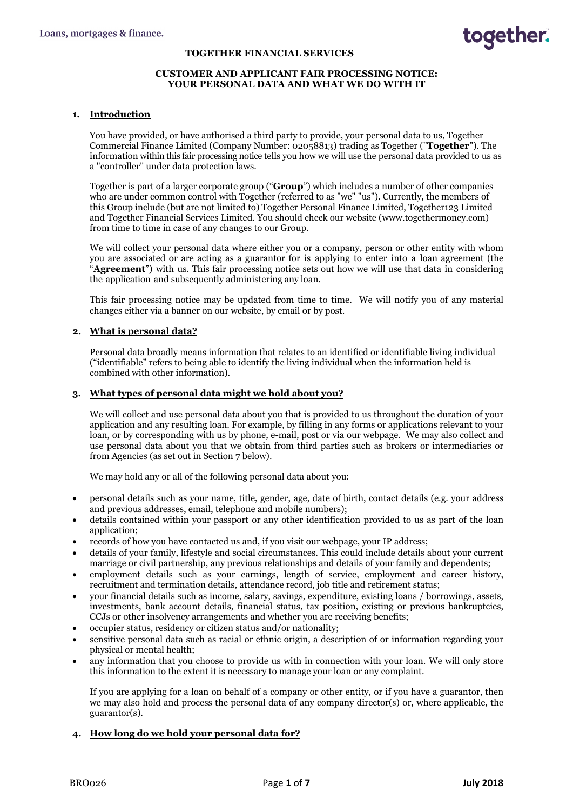#### **TOGETHER FINANCIAL SERVICES**

### **CUSTOMER AND APPLICANT FAIR PROCESSING NOTICE: YOUR PERSONAL DATA AND WHAT WE DO WITH IT**

### **1. Introduction**

You have provided, or have authorised a third party to provide, your personal data to us, Together Commercial Finance Limited (Company Number: 02058813) trading as Together ("**Together**"). The information within this fair processing notice tells you how we will use the personal data provided to us as a "controller" under data protection laws.

Together is part of a larger corporate group ("**Group**") which includes a number of other companies who are under common control with Together (referred to as "we" "us"). Currently, the members of this Group include (but are not limited to) Together Personal Finance Limited, Together123 Limited and Together Financial Services Limited. You should check our website (www.togethermoney.com) from time to time in case of any changes to our Group.

We will collect your personal data where either you or a company, person or other entity with whom you are associated or are acting as a guarantor for is applying to enter into a loan agreement (the "**Agreement**") with us. This fair processing notice sets out how we will use that data in considering the application and subsequently administering any loan.

This fair processing notice may be updated from time to time. We will notify you of any material changes either via a banner on our website, by email or by post.

# **2. What is personal data?**

Personal data broadly means information that relates to an identified or identifiable living individual ("identifiable" refers to being able to identify the living individual when the information held is combined with other information).

#### **3. What types of personal data might we hold about you?**

We will collect and use personal data about you that is provided to us throughout the duration of your application and any resulting loan. For example, by filling in any forms or applications relevant to your loan, or by corresponding with us by phone, e-mail, post or via our webpage. We may also collect and use personal data about you that we obtain from third parties such as brokers or intermediaries or from Agencies (as set out in Section 7 below).

We may hold any or all of the following personal data about you:

- personal details such as your name, title, gender, age, date of birth, contact details (e.g. your address and previous addresses, email, telephone and mobile numbers);
- details contained within your passport or any other identification provided to us as part of the loan application;
- records of how you have contacted us and, if you visit our webpage, your IP address;
- details of your family, lifestyle and social circumstances. This could include details about your current marriage or civil partnership, any previous relationships and details of your family and dependents;
- employment details such as your earnings, length of service, employment and career history, recruitment and termination details, attendance record, job title and retirement status;
- your financial details such as income, salary, savings, expenditure, existing loans / borrowings, assets, investments, bank account details, financial status, tax position, existing or previous bankruptcies, CCJs or other insolvency arrangements and whether you are receiving benefits;
- occupier status, residency or citizen status and/or nationality;
- sensitive personal data such as racial or ethnic origin, a description of or information regarding your physical or mental health;
- any information that you choose to provide us with in connection with your loan. We will only store this information to the extent it is necessary to manage your loan or any complaint.

If you are applying for a loan on behalf of a company or other entity, or if you have a guarantor, then we may also hold and process the personal data of any company director(s) or, where applicable, the guarantor(s).

# **4. How long do we hold your personal data for?**

together.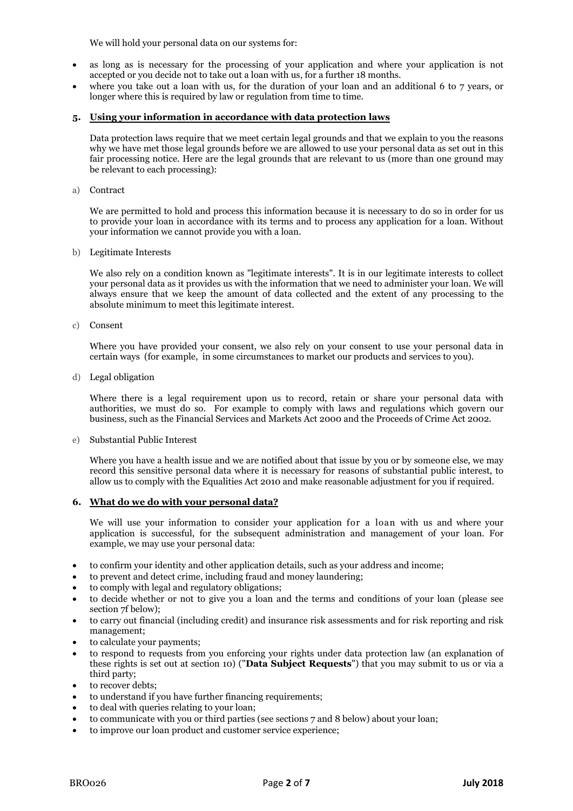We will hold your personal data on our systems for:

- as long as is necessary for the processing of your application and where your application is not accepted or you decide not to take out a loan with us, for a further 18 months.
- where you take out a loan with us, for the duration of your loan and an additional 6 to 7 years, or longer where this is required by law or regulation from time to time.

# **5. Using your information in accordance with data protection laws**

Data protection laws require that we meet certain legal grounds and that we explain to you the reasons why we have met those legal grounds before we are allowed to use your personal data as set out in this fair processing notice. Here are the legal grounds that are relevant to us (more than one ground may be relevant to each processing):

a) Contract

We are permitted to hold and process this information because it is necessary to do so in order for us to provide your loan in accordance with its terms and to process any application for a loan. Without your information we cannot provide you with a loan.

b) Legitimate Interests

We also rely on a condition known as "legitimate interests". It is in our legitimate interests to collect your personal data as it provides us with the information that we need to administer your loan. We will always ensure that we keep the amount of data collected and the extent of any processing to the absolute minimum to meet this legitimate interest.

c) Consent

Where you have provided your consent, we also rely on your consent to use your personal data in certain ways (for example, in some circumstances to market our products and services to you).

d) Legal obligation

Where there is a legal requirement upon us to record, retain or share your personal data with authorities, we must do so. For example to comply with laws and regulations which govern our business, such as the Financial Services and Markets Act 2000 and the Proceeds of Crime Act 2002.

e) Substantial Public Interest

Where you have a health issue and we are notified about that issue by you or by someone else, we may record this sensitive personal data where it is necessary for reasons of substantial public interest, to allow us to comply with the Equalities Act 2010 and make reasonable adjustment for you if required.

#### **6. What do we do with your personal data?**

We will use your information to consider your application for a loan with us and where your application is successful, for the subsequent administration and management of your loan. For example, we may use your personal data:

- to confirm your identity and other application details, such as your address and income;
- to prevent and detect crime, including fraud and money laundering;
- to comply with legal and regulatory obligations;
- to decide whether or not to give you a loan and the terms and conditions of your loan (please see section 7f below);
- to carry out financial (including credit) and insurance risk assessments and for risk reporting and risk management;
- to calculate your payments;
- to respond to requests from you enforcing your rights under data protection law (an explanation of these rights is set out at section 10) ("**Data Subject Requests**") that you may submit to us or via a third party;
- to recover debts;
- to understand if you have further financing requirements;
- to deal with queries relating to your loan;
- to communicate with you or third parties (see sections 7 and 8 below) about your loan;
- to improve our loan product and customer service experience;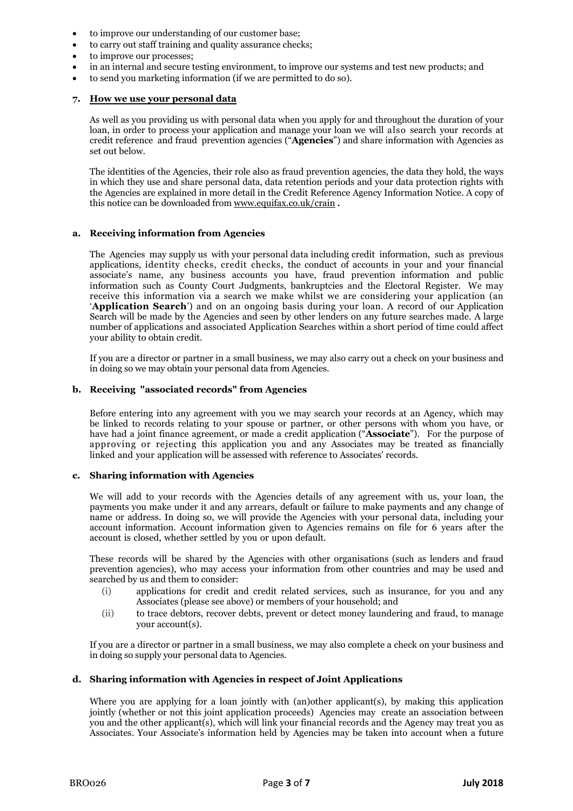- to improve our understanding of our customer base;
- to carry out staff training and quality assurance checks;
- to improve our processes;
- in an internal and secure testing environment, to improve our systems and test new products; and
- to send you marketing information (if we are permitted to do so).

#### **7. How we use your personal data**

As well as you providing us with personal data when you apply for and throughout the duration of your loan, in order to process your application and manage your loan we will also search your records at credit reference and fraud prevention agencies ("**Agencies**") and share information with Agencies as set out below.

The identities of the Agencies, their role also as fraud prevention agencies, the data they hold, the ways in which they use and share personal data, data retention periods and your data protection rights with the Agencies are explained in more detail in the Credit Reference Agency Information Notice. A copy of this notice can be downloaded from [www.equifax.co.uk/crain](http://www.equifax.co.uk/crain) **.**

#### **a. Receiving information from Agencies**

The Agencies may supply us with your personal data including credit information, such as previous applications, identity checks, credit checks, the conduct of accounts in your and your financial associate's name, any business accounts you have, fraud prevention information and public information such as County Court Judgments, bankruptcies and the Electoral Register. We may receive this information via a search we make whilst we are considering your application (an '**Application Search**') and on an ongoing basis during your loan. A record of our Application Search will be made by the Agencies and seen by other lenders on any future searches made. A large number of applications and associated Application Searches within a short period of time could affect your ability to obtain credit.

If you are a director or partner in a small business, we may also carry out a check on your business and in doing so we may obtain your personal data from Agencies.

#### **b. Receiving "associated records" from Agencies**

Before entering into any agreement with you we may search your records at an Agency, which may be linked to records relating to your spouse or partner, or other persons with whom you have, or have had a joint finance agreement, or made a credit application ("**Associate**"). For the purpose of approving or rejecting this application you and any Associates may be treated as financially linked and your application will be assessed with reference to Associates' records.

#### **c. Sharing information with Agencies**

We will add to your records with the Agencies details of any agreement with us, your loan, the payments you make under it and any arrears, default or failure to make payments and any change of name or address. In doing so, we will provide the Agencies with your personal data, including your account information. Account information given to Agencies remains on file for 6 years after the account is closed, whether settled by you or upon default.

These records will be shared by the Agencies with other organisations (such as lenders and fraud prevention agencies), who may access your information from other countries and may be used and searched by us and them to consider:

- (i) applications for credit and credit related services, such as insurance, for you and any Associates (please see above) or members of your household; and
- (ii) to trace debtors, recover debts, prevent or detect money laundering and fraud, to manage your account(s).

If you are a director or partner in a small business, we may also complete a check on your business and in doing so supply your personal data to Agencies.

#### **d. Sharing information with Agencies in respect of Joint Applications**

Where you are applying for a loan jointly with (an)other applicant(s), by making this application jointly (whether or not this joint application proceeds) Agencies may create an association between you and the other applicant(s), which will link your financial records and the Agency may treat you as Associates. Your Associate's information held by Agencies may be taken into account when a future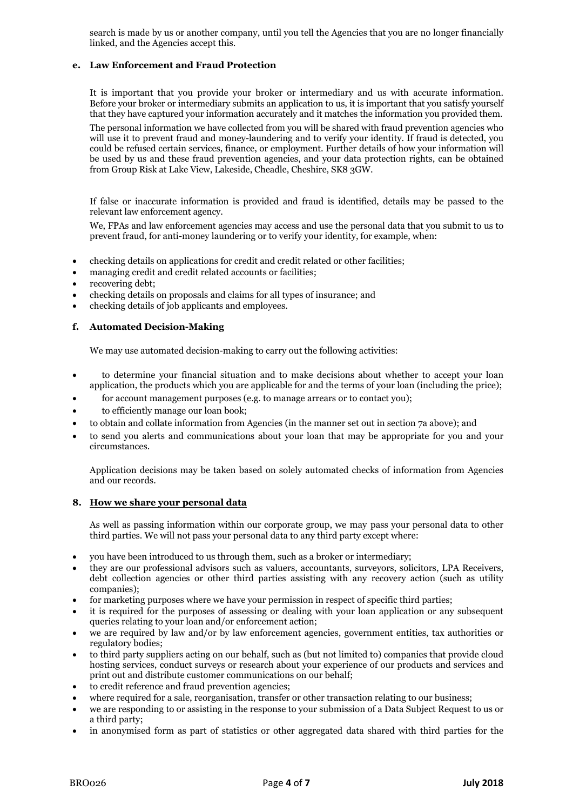search is made by us or another company, until you tell the Agencies that you are no longer financially linked, and the Agencies accept this.

# **e. Law Enforcement and Fraud Protection**

It is important that you provide your broker or intermediary and us with accurate information. Before your broker or intermediary submits an application to us, it is important that you satisfy yourself that they have captured your information accurately and it matches the information you provided them.

The personal information we have collected from you will be shared with fraud prevention agencies who will use it to prevent fraud and money-laundering and to verify your identity. If fraud is detected, you could be refused certain services, finance, or employment. Further details of how your information will be used by us and these fraud prevention agencies, and your data protection rights, can be obtained from Group Risk at Lake View, Lakeside, Cheadle, Cheshire, SK8 3GW.

If false or inaccurate information is provided and fraud is identified, details may be passed to the relevant law enforcement agency.

We, FPAs and law enforcement agencies may access and use the personal data that you submit to us to prevent fraud, for anti-money laundering or to verify your identity, for example, when:

- checking details on applications for credit and credit related or other facilities;
- managing credit and credit related accounts or facilities;
- recovering debt;
- checking details on proposals and claims for all types of insurance; and
- checking details of job applicants and employees.

# **f. Automated Decision-Making**

We may use automated decision-making to carry out the following activities:

- to determine your financial situation and to make decisions about whether to accept your loan application, the products which you are applicable for and the terms of your loan (including the price);
- for account management purposes (e.g. to manage arrears or to contact you);
- to efficiently manage our loan book;
- to obtain and collate information from Agencies (in the manner set out in section 7a above); and
- to send you alerts and communications about your loan that may be appropriate for you and your circumstances.

Application decisions may be taken based on solely automated checks of information from Agencies and our records.

# **8. How we share your personal data**

As well as passing information within our corporate group, we may pass your personal data to other third parties. We will not pass your personal data to any third party except where:

- you have been introduced to us through them, such as a broker or intermediary;
- they are our professional advisors such as valuers, accountants, surveyors, solicitors, LPA Receivers, debt collection agencies or other third parties assisting with any recovery action (such as utility companies);
- for marketing purposes where we have your permission in respect of specific third parties;
- it is required for the purposes of assessing or dealing with your loan application or any subsequent queries relating to your loan and/or enforcement action;
- we are required by law and/or by law enforcement agencies, government entities, tax authorities or regulatory bodies;
- to third party suppliers acting on our behalf, such as (but not limited to) companies that provide cloud hosting services, conduct surveys or research about your experience of our products and services and print out and distribute customer communications on our behalf;
- to credit reference and fraud prevention agencies;
- where required for a sale, reorganisation, transfer or other transaction relating to our business;
- we are responding to or assisting in the response to your submission of a Data Subject Request to us or a third party;
- in anonymised form as part of statistics or other aggregated data shared with third parties for the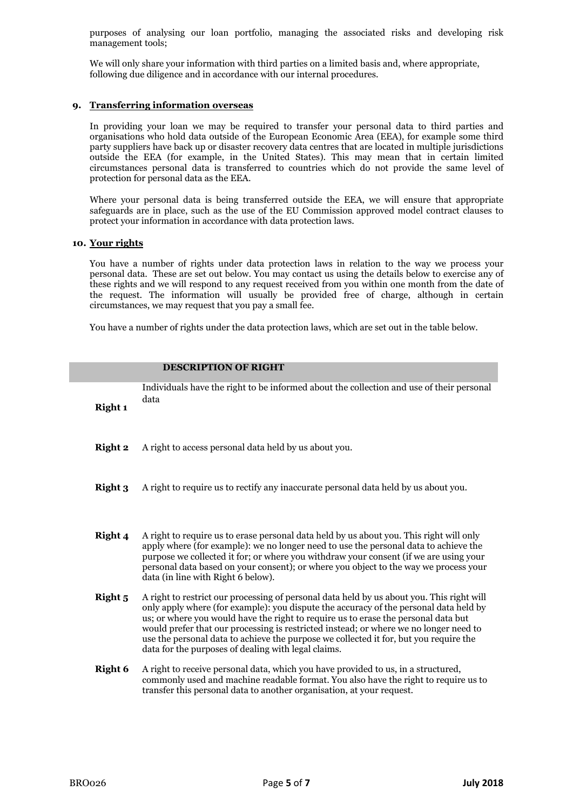purposes of analysing our loan portfolio, managing the associated risks and developing risk management tools;

We will only share your information with third parties on a limited basis and, where appropriate, following due diligence and in accordance with our internal procedures.

# **9. Transferring information overseas**

In providing your loan we may be required to transfer your personal data to third parties and organisations who hold data outside of the European Economic Area (EEA), for example some third party suppliers have back up or disaster recovery data centres that are located in multiple jurisdictions outside the EEA (for example, in the United States). This may mean that in certain limited circumstances personal data is transferred to countries which do not provide the same level of protection for personal data as the EEA.

Where your personal data is being transferred outside the EEA, we will ensure that appropriate safeguards are in place, such as the use of the EU Commission approved model contract clauses to protect your information in accordance with data protection laws.

#### **10. Your rights**

You have a number of rights under data protection laws in relation to the way we process your personal data. These are set out below. You may contact us using the details below to exercise any of these rights and we will respond to any request received from you within one month from the date of the request. The information will usually be provided free of charge, although in certain circumstances, we may request that you pay a small fee.

You have a number of rights under the data protection laws, which are set out in the table below.

**DESCRIPTION OF RIGHT**

| <b>Right 1</b> | Individuals have the right to be informed about the collection and use of their personal<br>data                                                                                                                                                                                                                                                                                                                                                                                                                  |
|----------------|-------------------------------------------------------------------------------------------------------------------------------------------------------------------------------------------------------------------------------------------------------------------------------------------------------------------------------------------------------------------------------------------------------------------------------------------------------------------------------------------------------------------|
| <b>Right 2</b> | A right to access personal data held by us about you.                                                                                                                                                                                                                                                                                                                                                                                                                                                             |
| Right 3        | A right to require us to rectify any inaccurate personal data held by us about you.                                                                                                                                                                                                                                                                                                                                                                                                                               |
| Right 4        | A right to require us to erase personal data held by us about you. This right will only<br>apply where (for example): we no longer need to use the personal data to achieve the<br>purpose we collected it for; or where you withdraw your consent (if we are using your<br>personal data based on your consent); or where you object to the way we process your<br>data (in line with Right 6 below).                                                                                                            |
| Right 5        | A right to restrict our processing of personal data held by us about you. This right will<br>only apply where (for example): you dispute the accuracy of the personal data held by<br>us; or where you would have the right to require us to erase the personal data but<br>would prefer that our processing is restricted instead; or where we no longer need to<br>use the personal data to achieve the purpose we collected it for, but you require the<br>data for the purposes of dealing with legal claims. |
| Right 6        | A right to receive personal data, which you have provided to us, in a structured,<br>commonly used and machine readable format. You also have the right to require us to<br>transfer this personal data to another organisation, at your request.                                                                                                                                                                                                                                                                 |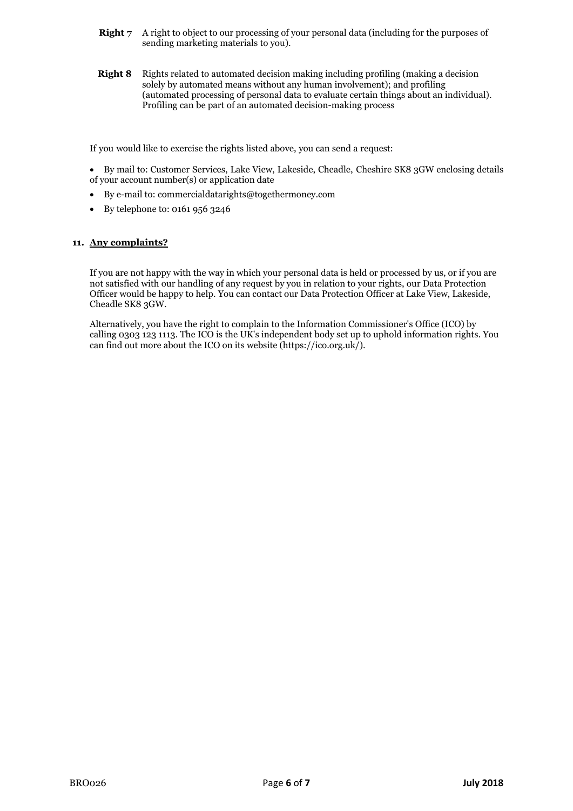- **Right 7** A right to object to our processing of your personal data (including for the purposes of sending marketing materials to you).
- **Right 8** Rights related to automated decision making including profiling (making a decision solely by automated means without any human involvement); and profiling (automated processing of personal data to evaluate certain things about an individual). Profiling can be part of an automated decision-making process

If you would like to exercise the rights listed above, you can send a request:

- By mail to: Customer Services, Lake View, Lakeside, Cheadle, Cheshire SK8 3GW enclosing details of your account number(s) or application date
- By e-mail to: commercialdatarights@togethermoney.com
- By telephone to: 0161 956 3246

# **11. Any complaints?**

If you are not happy with the way in which your personal data is held or processed by us, or if you are not satisfied with our handling of any request by you in relation to your rights, our Data Protection Officer would be happy to help. You can contact our Data Protection Officer at Lake View, Lakeside, Cheadle SK8 3GW.

Alternatively, you have the right to complain to the Information Commissioner's Office (ICO) by calling 0303 123 1113. The ICO is the UK's independent body set up to uphold information rights. You can find out more about the ICO on its website (https://ico.org.uk/).